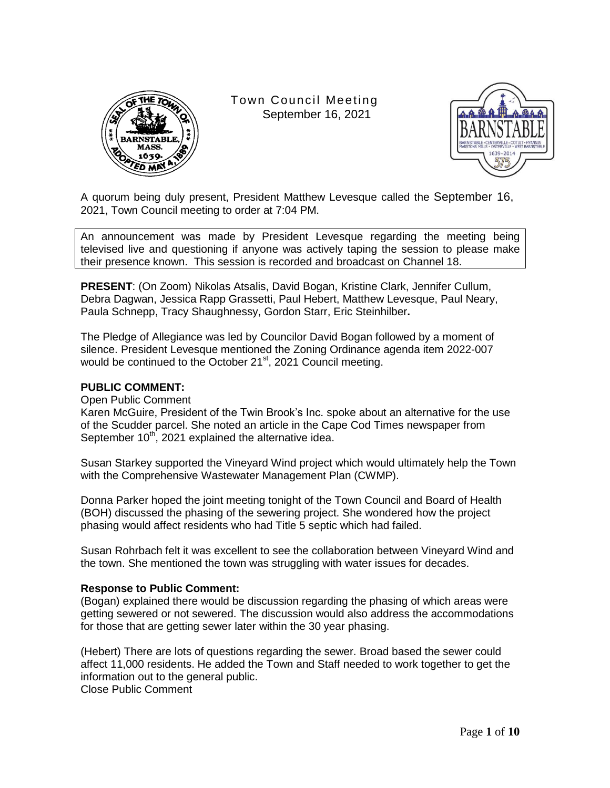

Town Council Meeting September 16, 2021



A quorum being duly present, President Matthew Levesque called the September 16, 2021, Town Council meeting to order at 7:04 PM.

An announcement was made by President Levesque regarding the meeting being televised live and questioning if anyone was actively taping the session to please make their presence known. This session is recorded and broadcast on Channel 18.

**PRESENT**: (On Zoom) Nikolas Atsalis, David Bogan, Kristine Clark, Jennifer Cullum, Debra Dagwan, Jessica Rapp Grassetti, Paul Hebert, Matthew Levesque, Paul Neary, Paula Schnepp, Tracy Shaughnessy, Gordon Starr, Eric Steinhilber**.**

The Pledge of Allegiance was led by Councilor David Bogan followed by a moment of silence. President Levesque mentioned the Zoning Ordinance agenda item 2022-007 would be continued to the October 21<sup>st</sup>, 2021 Council meeting.

### **PUBLIC COMMENT:**

Open Public Comment

Karen McGuire, President of the Twin Brook"s Inc. spoke about an alternative for the use of the Scudder parcel. She noted an article in the Cape Cod Times newspaper from September  $10^{th}$ , 2021 explained the alternative idea.

Susan Starkey supported the Vineyard Wind project which would ultimately help the Town with the Comprehensive Wastewater Management Plan (CWMP).

Donna Parker hoped the joint meeting tonight of the Town Council and Board of Health (BOH) discussed the phasing of the sewering project. She wondered how the project phasing would affect residents who had Title 5 septic which had failed.

Susan Rohrbach felt it was excellent to see the collaboration between Vineyard Wind and the town. She mentioned the town was struggling with water issues for decades.

### **Response to Public Comment:**

(Bogan) explained there would be discussion regarding the phasing of which areas were getting sewered or not sewered. The discussion would also address the accommodations for those that are getting sewer later within the 30 year phasing.

(Hebert) There are lots of questions regarding the sewer. Broad based the sewer could affect 11,000 residents. He added the Town and Staff needed to work together to get the information out to the general public. Close Public Comment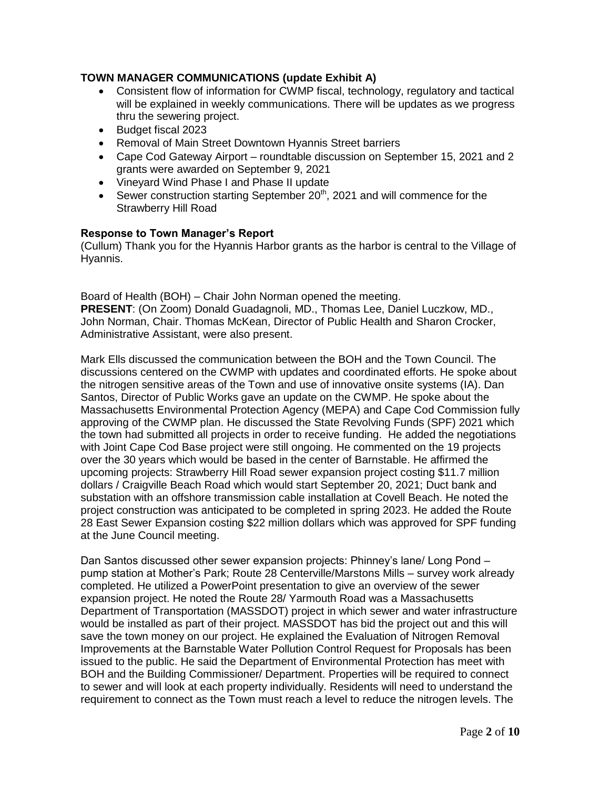# **TOWN MANAGER COMMUNICATIONS (update Exhibit A)**

- Consistent flow of information for CWMP fiscal, technology, regulatory and tactical will be explained in weekly communications. There will be updates as we progress thru the sewering project.
- Budget fiscal 2023
- Removal of Main Street Downtown Hyannis Street barriers
- Cape Cod Gateway Airport roundtable discussion on September 15, 2021 and 2 grants were awarded on September 9, 2021
- Vineyard Wind Phase I and Phase II update
- Sewer construction starting September  $20<sup>th</sup>$ , 2021 and will commence for the Strawberry Hill Road

### **Response to Town Manager's Report**

(Cullum) Thank you for the Hyannis Harbor grants as the harbor is central to the Village of Hyannis.

Board of Health (BOH) – Chair John Norman opened the meeting. **PRESENT**: (On Zoom) Donald Guadagnoli, MD., Thomas Lee, Daniel Luczkow, MD., John Norman, Chair. Thomas McKean, Director of Public Health and Sharon Crocker, Administrative Assistant, were also present.

Mark Ells discussed the communication between the BOH and the Town Council. The discussions centered on the CWMP with updates and coordinated efforts. He spoke about the nitrogen sensitive areas of the Town and use of innovative onsite systems (IA). Dan Santos, Director of Public Works gave an update on the CWMP. He spoke about the Massachusetts Environmental Protection Agency (MEPA) and Cape Cod Commission fully approving of the CWMP plan. He discussed the State Revolving Funds (SPF) 2021 which the town had submitted all projects in order to receive funding. He added the negotiations with Joint Cape Cod Base project were still ongoing. He commented on the 19 projects over the 30 years which would be based in the center of Barnstable. He affirmed the upcoming projects: Strawberry Hill Road sewer expansion project costing \$11.7 million dollars / Craigville Beach Road which would start September 20, 2021; Duct bank and substation with an offshore transmission cable installation at Covell Beach. He noted the project construction was anticipated to be completed in spring 2023. He added the Route 28 East Sewer Expansion costing \$22 million dollars which was approved for SPF funding at the June Council meeting.

Dan Santos discussed other sewer expansion projects: Phinney"s lane/ Long Pond – pump station at Mother"s Park; Route 28 Centerville/Marstons Mills – survey work already completed. He utilized a PowerPoint presentation to give an overview of the sewer expansion project. He noted the Route 28/ Yarmouth Road was a Massachusetts Department of Transportation (MASSDOT) project in which sewer and water infrastructure would be installed as part of their project. MASSDOT has bid the project out and this will save the town money on our project. He explained the Evaluation of Nitrogen Removal Improvements at the Barnstable Water Pollution Control Request for Proposals has been issued to the public. He said the Department of Environmental Protection has meet with BOH and the Building Commissioner/ Department. Properties will be required to connect to sewer and will look at each property individually. Residents will need to understand the requirement to connect as the Town must reach a level to reduce the nitrogen levels. The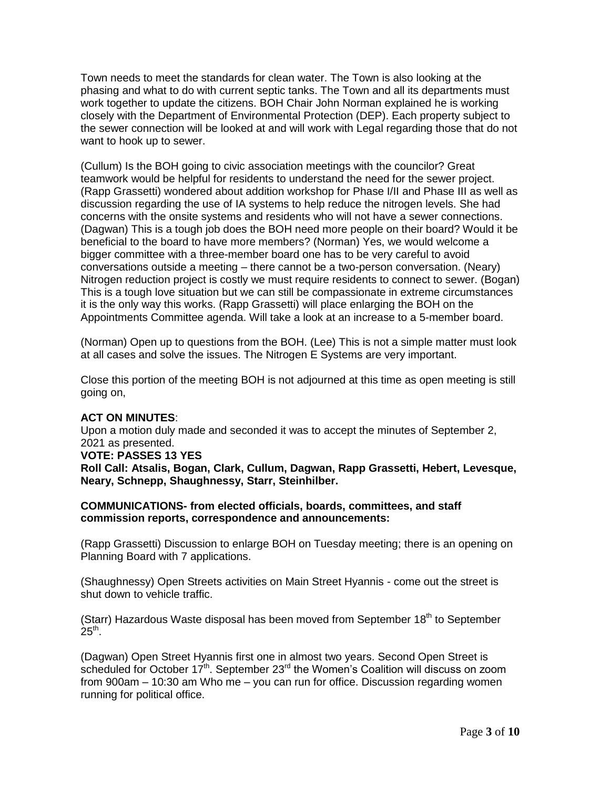Town needs to meet the standards for clean water. The Town is also looking at the phasing and what to do with current septic tanks. The Town and all its departments must work together to update the citizens. BOH Chair John Norman explained he is working closely with the Department of Environmental Protection (DEP). Each property subject to the sewer connection will be looked at and will work with Legal regarding those that do not want to hook up to sewer.

(Cullum) Is the BOH going to civic association meetings with the councilor? Great teamwork would be helpful for residents to understand the need for the sewer project. (Rapp Grassetti) wondered about addition workshop for Phase I/II and Phase III as well as discussion regarding the use of IA systems to help reduce the nitrogen levels. She had concerns with the onsite systems and residents who will not have a sewer connections. (Dagwan) This is a tough job does the BOH need more people on their board? Would it be beneficial to the board to have more members? (Norman) Yes, we would welcome a bigger committee with a three-member board one has to be very careful to avoid conversations outside a meeting – there cannot be a two-person conversation. (Neary) Nitrogen reduction project is costly we must require residents to connect to sewer. (Bogan) This is a tough love situation but we can still be compassionate in extreme circumstances it is the only way this works. (Rapp Grassetti) will place enlarging the BOH on the Appointments Committee agenda. Will take a look at an increase to a 5-member board.

(Norman) Open up to questions from the BOH. (Lee) This is not a simple matter must look at all cases and solve the issues. The Nitrogen E Systems are very important.

Close this portion of the meeting BOH is not adjourned at this time as open meeting is still going on,

# **ACT ON MINUTES**:

Upon a motion duly made and seconded it was to accept the minutes of September 2, 2021 as presented. **VOTE: PASSES 13 YES Roll Call: Atsalis, Bogan, Clark, Cullum, Dagwan, Rapp Grassetti, Hebert, Levesque, Neary, Schnepp, Shaughnessy, Starr, Steinhilber.**

### **COMMUNICATIONS- from elected officials, boards, committees, and staff commission reports, correspondence and announcements:**

(Rapp Grassetti) Discussion to enlarge BOH on Tuesday meeting; there is an opening on Planning Board with 7 applications.

(Shaughnessy) Open Streets activities on Main Street Hyannis - come out the street is shut down to vehicle traffic.

(Starr) Hazardous Waste disposal has been moved from September  $18<sup>th</sup>$  to September  $25^{\text{th}}$ .

(Dagwan) Open Street Hyannis first one in almost two years. Second Open Street is scheduled for October  $17<sup>th</sup>$ . September 23<sup>rd</sup> the Women's Coalition will discuss on zoom from 900am – 10:30 am Who me – you can run for office. Discussion regarding women running for political office.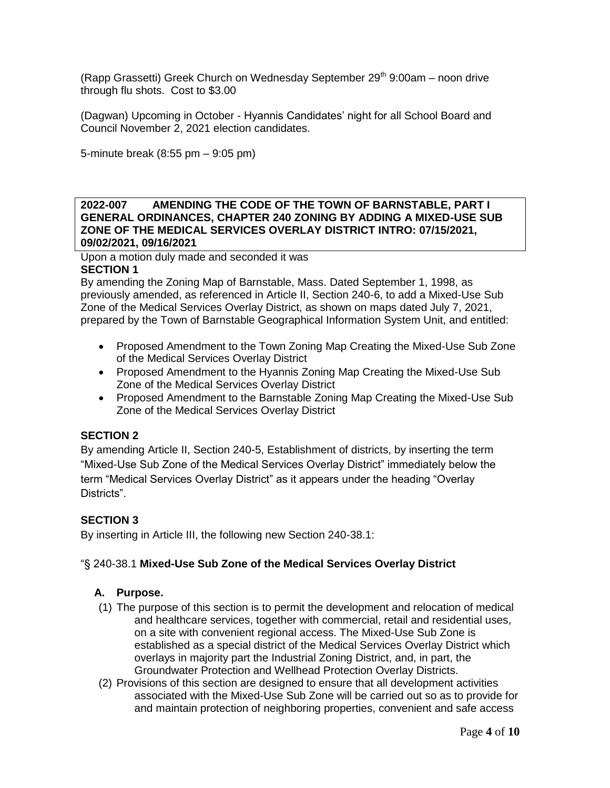(Rapp Grassetti) Greek Church on Wednesday September 29<sup>th</sup> 9:00am – noon drive through flu shots. Cost to \$3.00

(Dagwan) Upcoming in October - Hyannis Candidates" night for all School Board and Council November 2, 2021 election candidates.

5-minute break (8:55 pm – 9:05 pm)

### **2022-007 AMENDING THE CODE OF THE TOWN OF BARNSTABLE, PART I GENERAL ORDINANCES, CHAPTER 240 ZONING BY ADDING A MIXED-USE SUB ZONE OF THE MEDICAL SERVICES OVERLAY DISTRICT INTRO: 07/15/2021, 09/02/2021, 09/16/2021**

Upon a motion duly made and seconded it was **SECTION 1**

By amending the Zoning Map of Barnstable, Mass. Dated September 1, 1998, as previously amended, as referenced in Article II, Section 240-6, to add a Mixed-Use Sub Zone of the Medical Services Overlay District, as shown on maps dated July 7, 2021, prepared by the Town of Barnstable Geographical Information System Unit, and entitled:

- Proposed Amendment to the Town Zoning Map Creating the Mixed-Use Sub Zone of the Medical Services Overlay District
- Proposed Amendment to the Hyannis Zoning Map Creating the Mixed-Use Sub Zone of the Medical Services Overlay District
- Proposed Amendment to the Barnstable Zoning Map Creating the Mixed-Use Sub Zone of the Medical Services Overlay District

# **SECTION 2**

By amending Article II, Section 240-5, Establishment of districts, by inserting the term "Mixed-Use Sub Zone of the Medical Services Overlay District" immediately below the term "Medical Services Overlay District" as it appears under the heading "Overlay Districts".

# **SECTION 3**

By inserting in Article III, the following new Section 240-38.1:

# "§ 240-38.1 **Mixed-Use Sub Zone of the Medical Services Overlay District**

# **A. Purpose.**

- (1) The purpose of this section is to permit the development and relocation of medical and healthcare services, together with commercial, retail and residential uses, on a site with convenient regional access. The Mixed-Use Sub Zone is established as a special district of the Medical Services Overlay District which overlays in majority part the Industrial Zoning District, and, in part, the Groundwater Protection and Wellhead Protection Overlay Districts.
- (2) Provisions of this section are designed to ensure that all development activities associated with the Mixed-Use Sub Zone will be carried out so as to provide for and maintain protection of neighboring properties, convenient and safe access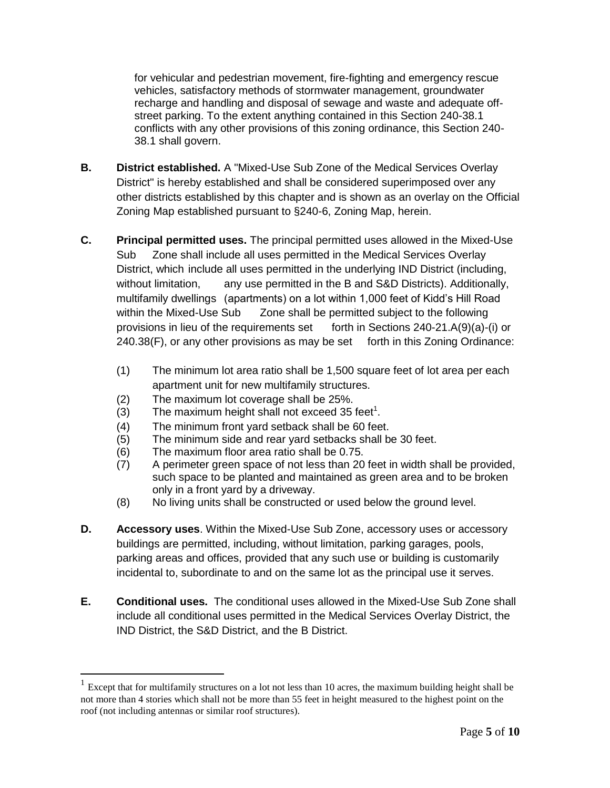for vehicular and pedestrian movement, fire-fighting and emergency rescue vehicles, satisfactory methods of stormwater management, groundwater recharge and handling and disposal of sewage and waste and adequate offstreet parking. To the extent anything contained in this Section 240-38.1 conflicts with any other provisions of this zoning ordinance, this Section 240- 38.1 shall govern.

- **B. District established.** A "Mixed-Use Sub Zone of the Medical Services Overlay District" is hereby established and shall be considered superimposed over any other districts established by this chapter and is shown as an overlay on the Official Zoning Map established pursuant to §240-6, Zoning Map, herein.
- **C. Principal permitted uses.** The principal permitted uses allowed in the Mixed-Use Sub Zone shall include all uses permitted in the Medical Services Overlay District, which include all uses permitted in the underlying IND District (including, without limitation, any use permitted in the B and S&D Districts). Additionally, multifamily dwellings (apartments) on a lot within 1,000 feet of Kidd"s Hill Road within the Mixed-Use Sub Zone shall be permitted subject to the following provisions in lieu of the requirements set forth in Sections 240-21.A(9)(a)-(i) or 240.38(F), or any other provisions as may be set forth in this Zoning Ordinance:
	- (1) The minimum lot area ratio shall be 1,500 square feet of lot area per each apartment unit for new multifamily structures.
	- (2) The maximum lot coverage shall be 25%.
	- $(3)$  The maximum height shall not exceed 35 feet<sup>1</sup>.
	- (4) The minimum front yard setback shall be 60 feet.
	- (5) The minimum side and rear yard setbacks shall be 30 feet.
	- (6) The maximum floor area ratio shall be 0.75.

 $\overline{a}$ 

- (7) A perimeter green space of not less than 20 feet in width shall be provided, such space to be planted and maintained as green area and to be broken only in a front yard by a driveway.
- (8) No living units shall be constructed or used below the ground level.
- **D. Accessory uses**. Within the Mixed-Use Sub Zone, accessory uses or accessory buildings are permitted, including, without limitation, parking garages, pools, parking areas and offices, provided that any such use or building is customarily incidental to, subordinate to and on the same lot as the principal use it serves.
- **E. Conditional uses.** The conditional uses allowed in the Mixed-Use Sub Zone shall include all conditional uses permitted in the Medical Services Overlay District, the IND District, the S&D District, and the B District.

<sup>&</sup>lt;sup>1</sup> Except that for multifamily structures on a lot not less than 10 acres, the maximum building height shall be not more than 4 stories which shall not be more than 55 feet in height measured to the highest point on the roof (not including antennas or similar roof structures).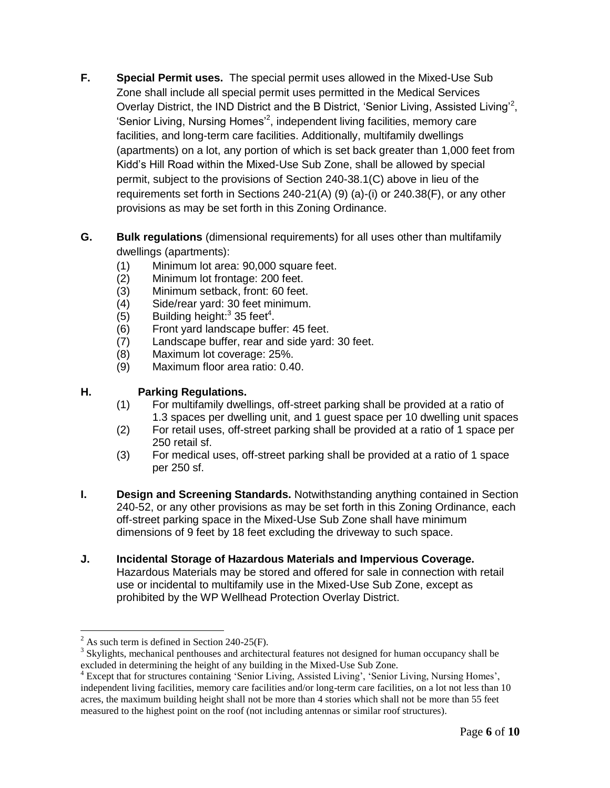- **F. Special Permit uses.** The special permit uses allowed in the Mixed-Use Sub Zone shall include all special permit uses permitted in the Medical Services Overlay District, the IND District and the B District, 'Senior Living, Assisted Living'<sup>2</sup>, 'Senior Living, Nursing Homes<sup>'2</sup>, independent living facilities, memory care facilities, and long-term care facilities. Additionally, multifamily dwellings (apartments) on a lot, any portion of which is set back greater than 1,000 feet from Kidd"s Hill Road within the Mixed-Use Sub Zone, shall be allowed by special permit, subject to the provisions of Section 240-38.1(C) above in lieu of the requirements set forth in Sections 240-21(A) (9) (a)-(i) or 240.38(F), or any other provisions as may be set forth in this Zoning Ordinance.
- **G. Bulk regulations** (dimensional requirements) for all uses other than multifamily dwellings (apartments):
	- (1) Minimum lot area: 90,000 square feet.
	- (2) Minimum lot frontage: 200 feet.
	- (3) Minimum setback, front: 60 feet.
	- (4) Side/rear yard: 30 feet minimum.
	- $(5)$  Building height:<sup>3</sup> 35 feet<sup>4</sup>.
	- (6) Front yard landscape buffer: 45 feet.
	- (7) Landscape buffer, rear and side yard: 30 feet.
	- (8) Maximum lot coverage: 25%.
	- (9) Maximum floor area ratio: 0.40.

# **H. Parking Regulations.**

- (1) For multifamily dwellings, off-street parking shall be provided at a ratio of 1.3 spaces per dwelling unit, and 1 guest space per 10 dwelling unit spaces
- (2) For retail uses, off-street parking shall be provided at a ratio of 1 space per 250 retail sf.
- (3) For medical uses, off-street parking shall be provided at a ratio of 1 space per 250 sf.
- **I. Design and Screening Standards.** Notwithstanding anything contained in Section 240-52, or any other provisions as may be set forth in this Zoning Ordinance, each off-street parking space in the Mixed-Use Sub Zone shall have minimum dimensions of 9 feet by 18 feet excluding the driveway to such space.
- **J. Incidental Storage of Hazardous Materials and Impervious Coverage.**  Hazardous Materials may be stored and offered for sale in connection with retail use or incidental to multifamily use in the Mixed-Use Sub Zone, except as prohibited by the WP Wellhead Protection Overlay District.

 $\overline{a}$ 

 $^{2}$  As such term is defined in Section 240-25(F).

<sup>&</sup>lt;sup>3</sup> Skylights, mechanical penthouses and architectural features not designed for human occupancy shall be excluded in determining the height of any building in the Mixed-Use Sub Zone.

<sup>&</sup>lt;sup>4</sup> Except that for structures containing 'Senior Living, Assisted Living', 'Senior Living, Nursing Homes', independent living facilities, memory care facilities and/or long-term care facilities, on a lot not less than 10 acres, the maximum building height shall not be more than 4 stories which shall not be more than 55 feet measured to the highest point on the roof (not including antennas or similar roof structures).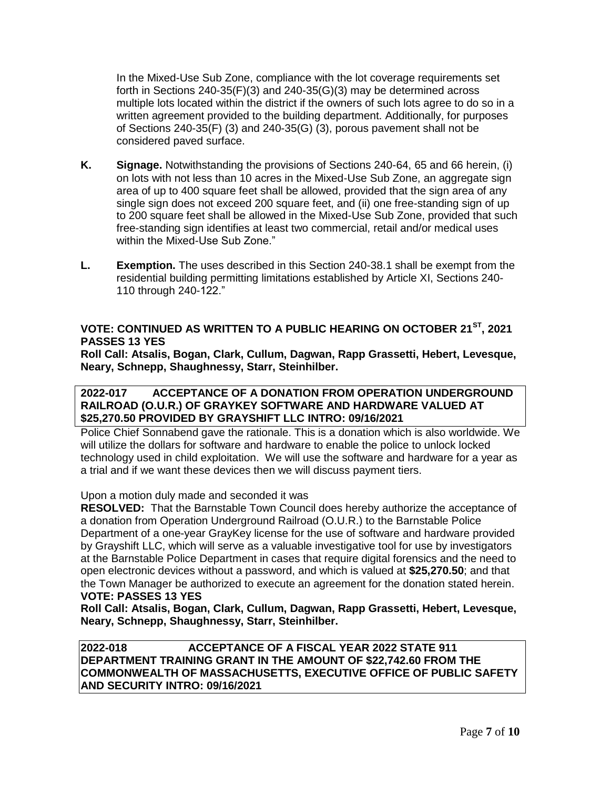In the Mixed-Use Sub Zone, compliance with the lot coverage requirements set forth in Sections 240-35(F)(3) and 240-35(G)(3) may be determined across multiple lots located within the district if the owners of such lots agree to do so in a written agreement provided to the building department. Additionally, for purposes of Sections 240-35(F) (3) and 240-35(G) (3), porous pavement shall not be considered paved surface.

- **K. Signage.** Notwithstanding the provisions of Sections 240-64, 65 and 66 herein, (i) on lots with not less than 10 acres in the Mixed-Use Sub Zone, an aggregate sign area of up to 400 square feet shall be allowed, provided that the sign area of any single sign does not exceed 200 square feet, and (ii) one free-standing sign of up to 200 square feet shall be allowed in the Mixed-Use Sub Zone, provided that such free-standing sign identifies at least two commercial, retail and/or medical uses within the Mixed-Use Sub Zone."
- **L. Exemption.** The uses described in this Section 240-38.1 shall be exempt from the residential building permitting limitations established by Article XI, Sections 240- 110 through 240-122."

# **VOTE: CONTINUED AS WRITTEN TO A PUBLIC HEARING ON OCTOBER 21ST, 2021 PASSES 13 YES**

**Roll Call: Atsalis, Bogan, Clark, Cullum, Dagwan, Rapp Grassetti, Hebert, Levesque, Neary, Schnepp, Shaughnessy, Starr, Steinhilber.** 

### **2022-017 ACCEPTANCE OF A DONATION FROM OPERATION UNDERGROUND RAILROAD (O.U.R.) OF GRAYKEY SOFTWARE AND HARDWARE VALUED AT \$25,270.50 PROVIDED BY GRAYSHIFT LLC INTRO: 09/16/2021**

Police Chief Sonnabend gave the rationale. This is a donation which is also worldwide. We will utilize the dollars for software and hardware to enable the police to unlock locked technology used in child exploitation. We will use the software and hardware for a year as a trial and if we want these devices then we will discuss payment tiers.

Upon a motion duly made and seconded it was

**RESOLVED:** That the Barnstable Town Council does hereby authorize the acceptance of a donation from Operation Underground Railroad (O.U.R.) to the Barnstable Police Department of a one-year GrayKey license for the use of software and hardware provided by Grayshift LLC, which will serve as a valuable investigative tool for use by investigators at the Barnstable Police Department in cases that require digital forensics and the need to open electronic devices without a password, and which is valued at **\$25,270.50**; and that the Town Manager be authorized to execute an agreement for the donation stated herein. **VOTE: PASSES 13 YES**

**Roll Call: Atsalis, Bogan, Clark, Cullum, Dagwan, Rapp Grassetti, Hebert, Levesque, Neary, Schnepp, Shaughnessy, Starr, Steinhilber.** 

**2022-018 ACCEPTANCE OF A FISCAL YEAR 2022 STATE 911 DEPARTMENT TRAINING GRANT IN THE AMOUNT OF \$22,742.60 FROM THE COMMONWEALTH OF MASSACHUSETTS, EXECUTIVE OFFICE OF PUBLIC SAFETY AND SECURITY INTRO: 09/16/2021**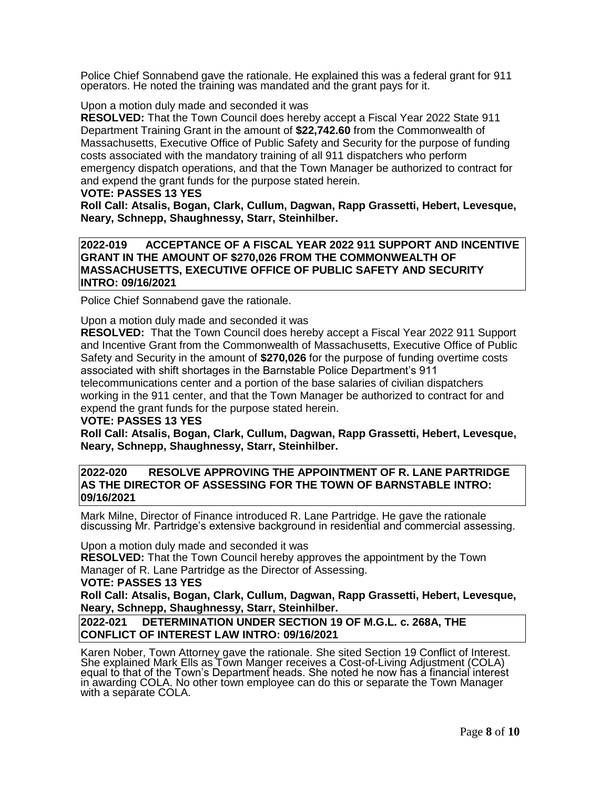Police Chief Sonnabend gave the rationale. He explained this was a federal grant for 911 operators. He noted the training was mandated and the grant pays for it.

Upon a motion duly made and seconded it was

**RESOLVED:** That the Town Council does hereby accept a Fiscal Year 2022 State 911 Department Training Grant in the amount of **\$22,742.60** from the Commonwealth of Massachusetts, Executive Office of Public Safety and Security for the purpose of funding costs associated with the mandatory training of all 911 dispatchers who perform emergency dispatch operations, and that the Town Manager be authorized to contract for and expend the grant funds for the purpose stated herein.

#### **VOTE: PASSES 13 YES**

**Roll Call: Atsalis, Bogan, Clark, Cullum, Dagwan, Rapp Grassetti, Hebert, Levesque, Neary, Schnepp, Shaughnessy, Starr, Steinhilber.** 

**2022-019 ACCEPTANCE OF A FISCAL YEAR 2022 911 SUPPORT AND INCENTIVE GRANT IN THE AMOUNT OF \$270,026 FROM THE COMMONWEALTH OF MASSACHUSETTS, EXECUTIVE OFFICE OF PUBLIC SAFETY AND SECURITY INTRO: 09/16/2021**

Police Chief Sonnabend gave the rationale.

Upon a motion duly made and seconded it was

**RESOLVED:** That the Town Council does hereby accept a Fiscal Year 2022 911 Support and Incentive Grant from the Commonwealth of Massachusetts, Executive Office of Public Safety and Security in the amount of **\$270,026** for the purpose of funding overtime costs associated with shift shortages in the Barnstable Police Department"s 911 telecommunications center and a portion of the base salaries of civilian dispatchers working in the 911 center, and that the Town Manager be authorized to contract for and expend the grant funds for the purpose stated herein.

### **VOTE: PASSES 13 YES**

**Roll Call: Atsalis, Bogan, Clark, Cullum, Dagwan, Rapp Grassetti, Hebert, Levesque, Neary, Schnepp, Shaughnessy, Starr, Steinhilber.** 

### **2022-020 RESOLVE APPROVING THE APPOINTMENT OF R. LANE PARTRIDGE AS THE DIRECTOR OF ASSESSING FOR THE TOWN OF BARNSTABLE INTRO: 09/16/2021**

Mark Milne, Director of Finance introduced R. Lane Partridge. He gave the rationale discussing Mr. Partridge"s extensive background in residential and commercial assessing.

Upon a motion duly made and seconded it was

**RESOLVED:** That the Town Council hereby approves the appointment by the Town Manager of R. Lane Partridge as the Director of Assessing.

#### **VOTE: PASSES 13 YES**

**Roll Call: Atsalis, Bogan, Clark, Cullum, Dagwan, Rapp Grassetti, Hebert, Levesque, Neary, Schnepp, Shaughnessy, Starr, Steinhilber.** 

### **2022-021 DETERMINATION UNDER SECTION 19 OF M.G.L. c. 268A, THE CONFLICT OF INTEREST LAW INTRO: 09/16/2021**

Karen Nober, Town Attorney gave the rationale. She sited Section 19 Conflict of Interest. She explained Mark Ells as Town Manger receives a Cost-of-Living Adjustment (COLA) equal to that of the Town's Department heads. She noted he now has a financial interest in awarding COLA. No other town employee can do this or separate the Town Manager with a separate COLA.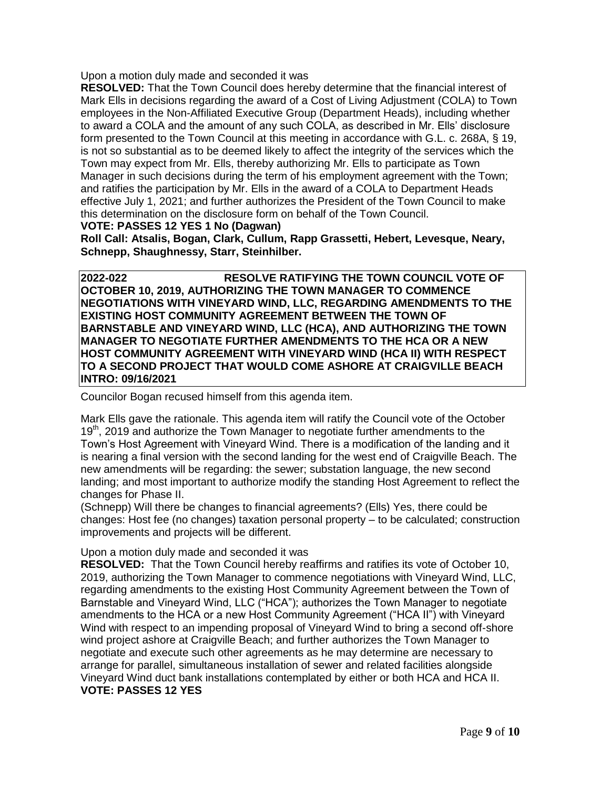Upon a motion duly made and seconded it was

**RESOLVED:** That the Town Council does hereby determine that the financial interest of Mark Ells in decisions regarding the award of a Cost of Living Adjustment (COLA) to Town employees in the Non-Affiliated Executive Group (Department Heads), including whether to award a COLA and the amount of any such COLA, as described in Mr. Ells" disclosure form presented to the Town Council at this meeting in accordance with G.L. c. 268A, § 19, is not so substantial as to be deemed likely to affect the integrity of the services which the Town may expect from Mr. Ells, thereby authorizing Mr. Ells to participate as Town Manager in such decisions during the term of his employment agreement with the Town; and ratifies the participation by Mr. Ells in the award of a COLA to Department Heads effective July 1, 2021; and further authorizes the President of the Town Council to make this determination on the disclosure form on behalf of the Town Council.

### **VOTE: PASSES 12 YES 1 No (Dagwan)**

**Roll Call: Atsalis, Bogan, Clark, Cullum, Rapp Grassetti, Hebert, Levesque, Neary, Schnepp, Shaughnessy, Starr, Steinhilber.** 

**2022-022 RESOLVE RATIFYING THE TOWN COUNCIL VOTE OF OCTOBER 10, 2019, AUTHORIZING THE TOWN MANAGER TO COMMENCE NEGOTIATIONS WITH VINEYARD WIND, LLC, REGARDING AMENDMENTS TO THE EXISTING HOST COMMUNITY AGREEMENT BETWEEN THE TOWN OF BARNSTABLE AND VINEYARD WIND, LLC (HCA), AND AUTHORIZING THE TOWN MANAGER TO NEGOTIATE FURTHER AMENDMENTS TO THE HCA OR A NEW HOST COMMUNITY AGREEMENT WITH VINEYARD WIND (HCA II) WITH RESPECT TO A SECOND PROJECT THAT WOULD COME ASHORE AT CRAIGVILLE BEACH INTRO: 09/16/2021**

Councilor Bogan recused himself from this agenda item.

Mark Ells gave the rationale. This agenda item will ratify the Council vote of the October  $19<sup>th</sup>$ , 2019 and authorize the Town Manager to negotiate further amendments to the Town"s Host Agreement with Vineyard Wind. There is a modification of the landing and it is nearing a final version with the second landing for the west end of Craigville Beach. The new amendments will be regarding: the sewer; substation language, the new second landing; and most important to authorize modify the standing Host Agreement to reflect the changes for Phase II.

(Schnepp) Will there be changes to financial agreements? (Ells) Yes, there could be changes: Host fee (no changes) taxation personal property – to be calculated; construction improvements and projects will be different.

# Upon a motion duly made and seconded it was

**RESOLVED:** That the Town Council hereby reaffirms and ratifies its vote of October 10, 2019, authorizing the Town Manager to commence negotiations with Vineyard Wind, LLC, regarding amendments to the existing Host Community Agreement between the Town of Barnstable and Vineyard Wind, LLC ("HCA"); authorizes the Town Manager to negotiate amendments to the HCA or a new Host Community Agreement ("HCA II") with Vineyard Wind with respect to an impending proposal of Vineyard Wind to bring a second off-shore wind project ashore at Craigville Beach; and further authorizes the Town Manager to negotiate and execute such other agreements as he may determine are necessary to arrange for parallel, simultaneous installation of sewer and related facilities alongside Vineyard Wind duct bank installations contemplated by either or both HCA and HCA II. **VOTE: PASSES 12 YES**